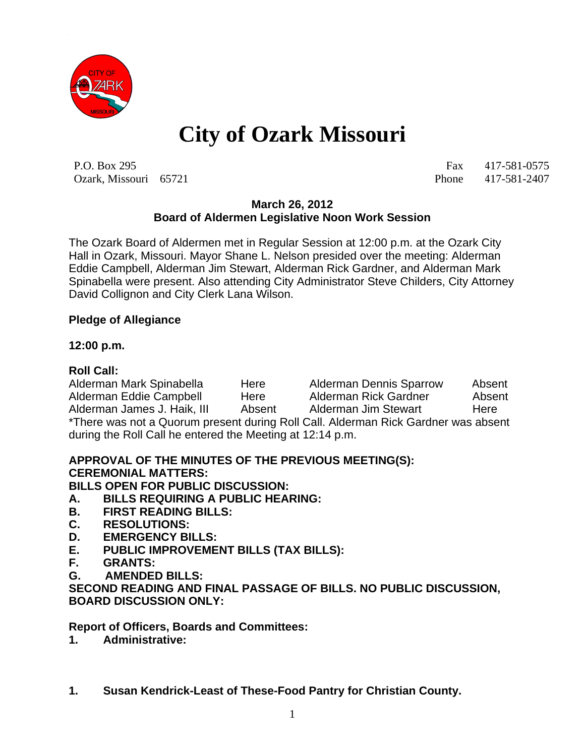

# **City of Ozark Missouri**

P.O. Box 295 Fax 417-581-0575 Ozark, Missouri 65721 Phone 417-581-2407

#### **March 26, 2012 Board of Aldermen Legislative Noon Work Session**

The Ozark Board of Aldermen met in Regular Session at 12:00 p.m. at the Ozark City Hall in Ozark, Missouri. Mayor Shane L. Nelson presided over the meeting: Alderman Eddie Campbell, Alderman Jim Stewart, Alderman Rick Gardner, and Alderman Mark Spinabella were present. Also attending City Administrator Steve Childers, City Attorney David Collignon and City Clerk Lana Wilson.

### **Pledge of Allegiance**

### **12:00 p.m.**

## **Roll Call:**

Alderman Mark Spinabella Here Alderman Dennis Sparrow Absent Alderman Eddie Campbell Here Alderman Rick Gardner Absent Alderman James J. Haik, III Absent Alderman Jim Stewart Here \*There was not a Quorum present during Roll Call. Alderman Rick Gardner was absent during the Roll Call he entered the Meeting at 12:14 p.m.

# **APPROVAL OF THE MINUTES OF THE PREVIOUS MEETING(S): CEREMONIAL MATTERS:**

**BILLS OPEN FOR PUBLIC DISCUSSION:**

- **A. BILLS REQUIRING A PUBLIC HEARING:**
- **B. FIRST READING BILLS:**
- **C. RESOLUTIONS:**
- **D. EMERGENCY BILLS:**
- **E. PUBLIC IMPROVEMENT BILLS (TAX BILLS):**
- **F. GRANTS:**
- **G. AMENDED BILLS:**

**SECOND READING AND FINAL PASSAGE OF BILLS. NO PUBLIC DISCUSSION, BOARD DISCUSSION ONLY:**

**Report of Officers, Boards and Committees:**

- **1. Administrative:**
- **1. Susan Kendrick-Least of These-Food Pantry for Christian County.**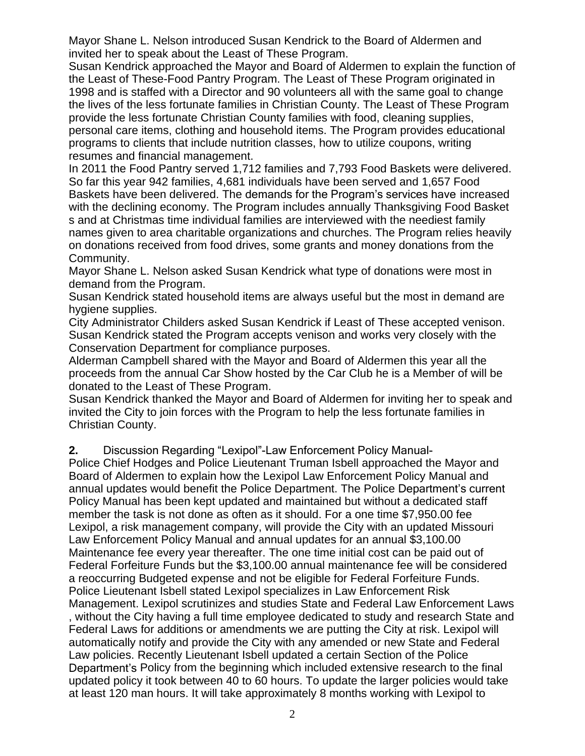Mayor Shane L. Nelson introduced Susan Kendrick to the Board of Aldermen and invited her to speak about the Least of These Program.

Susan Kendrick approached the Mayor and Board of Aldermen to explain the function of the Least of These-Food Pantry Program. The Least of These Program originated in 1998 and is staffed with a Director and 90 volunteers all with the same goal to change the lives of the less fortunate families in Christian County. The Least of These Program provide the less fortunate Christian County families with food, cleaning supplies, personal care items, clothing and household items. The Program provides educational programs to clients that include nutrition classes, how to utilize coupons, writing resumes and financial management.

In 2011 the Food Pantry served 1,712 families and 7,793 Food Baskets were delivered. So far this year 942 families, 4,681 individuals have been served and 1,657 Food Baskets have been delivered. The demands for the Program's services have increased with the declining economy. The Program includes annually Thanksgiving Food Basket s and at Christmas time individual families are interviewed with the neediest family names given to area charitable organizations and churches. The Program relies heavily on donations received from food drives, some grants and money donations from the Community.

Mayor Shane L. Nelson asked Susan Kendrick what type of donations were most in demand from the Program.

Susan Kendrick stated household items are always useful but the most in demand are hygiene supplies.

City Administrator Childers asked Susan Kendrick if Least of These accepted venison. Susan Kendrick stated the Program accepts venison and works very closely with the Conservation Department for compliance purposes.

Alderman Campbell shared with the Mayor and Board of Aldermen this year all the proceeds from the annual Car Show hosted by the Car Club he is a Member of will be donated to the Least of These Program.

Susan Kendrick thanked the Mayor and Board of Aldermen for inviting her to speak and invited the City to join forces with the Program to help the less fortunate families in Christian County.

**2.** Discussion Regarding "Lexipol"-Law Enforcement Policy Manual-

Police Chief Hodges and Police Lieutenant Truman Isbell approached the Mayor and Board of Aldermen to explain how the Lexipol Law Enforcement Policy Manual and annual updates would benefit the Police Department. The Police Department's current Policy Manual has been kept updated and maintained but without a dedicated staff member the task is not done as often as it should. For a one time \$7,950.00 fee Lexipol, a risk management company, will provide the City with an updated Missouri Law Enforcement Policy Manual and annual updates for an annual \$3,100.00 Maintenance fee every year thereafter. The one time initial cost can be paid out of Federal Forfeiture Funds but the \$3,100.00 annual maintenance fee will be considered a reoccurring Budgeted expense and not be eligible for Federal Forfeiture Funds. Police Lieutenant Isbell stated Lexipol specializes in Law Enforcement Risk Management. Lexipol scrutinizes and studies State and Federal Law Enforcement Laws , without the City having a full time employee dedicated to study and research State and Federal Laws for additions or amendments we are putting the City at risk. Lexipol will automatically notify and provide the City with any amended or new State and Federal Law policies. Recently Lieutenant Isbell updated a certain Section of the Police Department's Policy from the beginning which included extensive research to the final updated policy it took between 40 to 60 hours. To update the larger policies would take at least 120 man hours. It will take approximately 8 months working with Lexipol to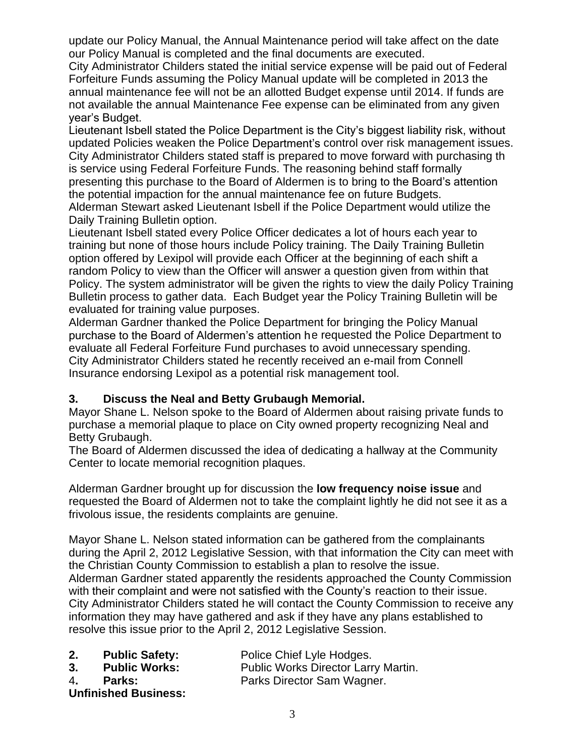update our Policy Manual, the Annual Maintenance period will take affect on the date our Policy Manual is completed and the final documents are executed.

City Administrator Childers stated the initial service expense will be paid out of Federal Forfeiture Funds assuming the Policy Manual update will be completed in 2013 the annual maintenance fee will not be an allotted Budget expense until 2014. If funds are not available the annual Maintenance Fee expense can be eliminated from any given year's Budget.

Lieutenant Isbell stated the Police Department is the City's biggest liability risk, without updated Policies weaken the Police Department's control over risk management issues. City Administrator Childers stated staff is prepared to move forward with purchasing th is service using Federal Forfeiture Funds. The reasoning behind staff formally presenting this purchase to the Board of Aldermen is to bring to the Board's attention the potential impaction for the annual maintenance fee on future Budgets. Alderman Stewart asked Lieutenant Isbell if the Police Department would utilize the Daily Training Bulletin option.

Lieutenant Isbell stated every Police Officer dedicates a lot of hours each year to training but none of those hours include Policy training. The Daily Training Bulletin option offered by Lexipol will provide each Officer at the beginning of each shift a random Policy to view than the Officer will answer a question given from within that Policy. The system administrator will be given the rights to view the daily Policy Training Bulletin process to gather data. Each Budget year the Policy Training Bulletin will be evaluated for training value purposes.

Alderman Gardner thanked the Police Department for bringing the Policy Manual purchase to the Board of Aldermen's attention he requested the Police Department to evaluate all Federal Forfeiture Fund purchases to avoid unnecessary spending. City Administrator Childers stated he recently received an e-mail from Connell Insurance endorsing Lexipol as a potential risk management tool.

### **3. Discuss the Neal and Betty Grubaugh Memorial.**

Mayor Shane L. Nelson spoke to the Board of Aldermen about raising private funds to purchase a memorial plaque to place on City owned property recognizing Neal and Betty Grubaugh.

The Board of Aldermen discussed the idea of dedicating a hallway at the Community Center to locate memorial recognition plaques.

Alderman Gardner brought up for discussion the **low frequency noise issue** and requested the Board of Aldermen not to take the complaint lightly he did not see it as a frivolous issue, the residents complaints are genuine.

Mayor Shane L. Nelson stated information can be gathered from the complainants during the April 2, 2012 Legislative Session, with that information the City can meet with the Christian County Commission to establish a plan to resolve the issue. Alderman Gardner stated apparently the residents approached the County Commission with their complaint and were not satisfied with the County's reaction to their issue. City Administrator Childers stated he will contact the County Commission to receive any information they may have gathered and ask if they have any plans established to resolve this issue prior to the April 2, 2012 Legislative Session.

| 2.  | <b>Public Safety:</b>                        | Police Chief Lyle Hodges.           |
|-----|----------------------------------------------|-------------------------------------|
| -3. | <b>Public Works:</b>                         | Public Works Director Larry Martin. |
| 4.  | <b>Parks:</b><br><b>Unfinished Business:</b> | Parks Director Sam Wagner.          |